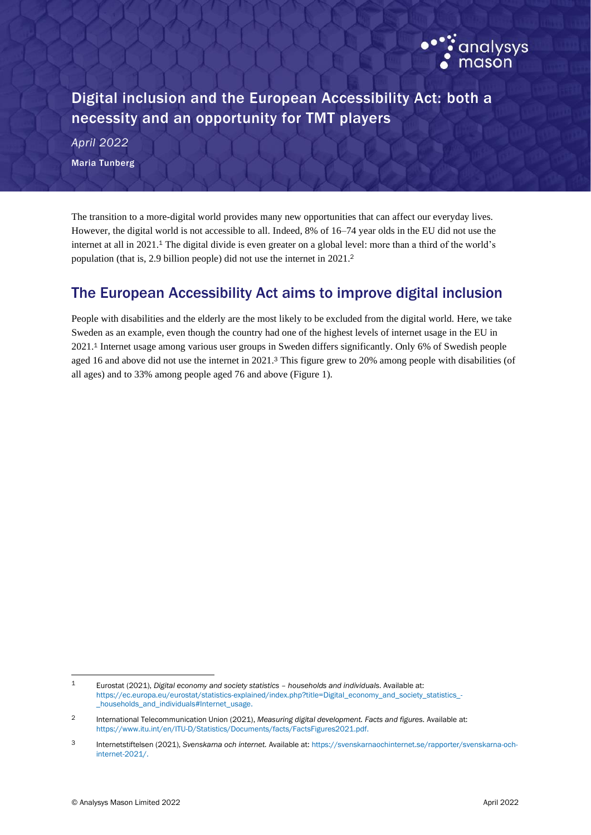

Digital inclusion and the European Accessibility Act: both a necessity and an opportunity for TMT players

*April 2022* Maria Tunberg

<span id="page-0-0"></span>The transition to a more-digital world provides many new opportunities that can affect our everyday lives. However, the digital world is not accessible to all. Indeed, 8% of 16–74 year olds in the EU did not use the internet at all in 2021. <sup>1</sup> The digital divide is even greater on a global level: more than a third of the world's population (that is, 2.9 billion people) did not use the internet in 2021.<sup>2</sup>

## The European Accessibility Act aims to improve digital inclusion

<span id="page-0-1"></span>People with disabilities and the elderly are the most likely to be excluded from the digital world. Here, we take Sweden as an example, even though the country had one of the highest levels of internet usage in the EU in 202[1.](#page-0-0) <sup>1</sup> Internet usage among various user groups in Sweden differs significantly. Only 6% of Swedish people aged 16 and above did not use the internet in 2021.<sup>3</sup> This figure grew to 20% among people with disabilities (of all ages) and to 33% among people aged 76 and above (Figure 1).

<sup>1</sup> Eurostat (2021), *Digital economy and society statistics – households and individuals.* Available at: [https://ec.europa.eu/eurostat/statistics-explained/index.php?title=Digital\\_economy\\_and\\_society\\_statistics\\_](https://ec.europa.eu/eurostat/statistics-explained/index.php?title=Digital_economy_and_society_statistics_-_households_and_individuals#Internet_usage) households\_and\_individuals#Internet\_usage.

<sup>2</sup> International Telecommunication Union (2021), *Measuring digital development. Facts and figures.* Available at: [https://www.itu.int/en/ITU-D/Statistics/Documents/facts/FactsFigures2021.pdf.](https://www.itu.int/en/ITU-D/Statistics/Documents/facts/FactsFigures2021.pdf)

<sup>3</sup> Internetstiftelsen (2021), *Svenskarna och internet.* Available at: [https://svenskarnaochinternet.se/rapporter/svenskarna-och](https://svenskarnaochinternet.se/rapporter/svenskarna-och-internet-2021/)[internet-2021/.](https://svenskarnaochinternet.se/rapporter/svenskarna-och-internet-2021/)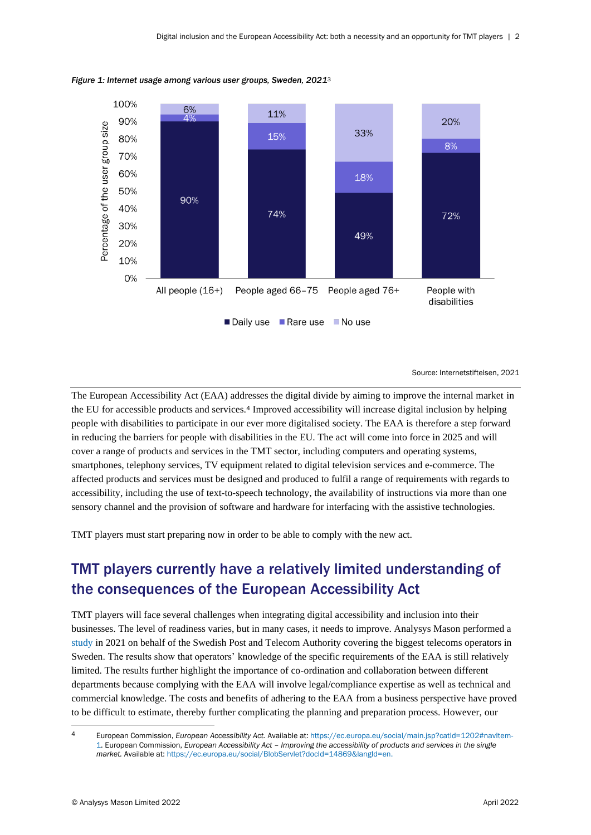

*Figure 1: Internet usage among various user groups, Sweden, 2021*[3](#page-0-1)

Source: Internetstiftelsen, 2021

The European Accessibility Act (EAA) addresses the digital divide by aiming to improve the internal market in the EU for accessible products and services.<sup>4</sup> Improved accessibility will increase digital inclusion by helping people with disabilities to participate in our ever more digitalised society. The EAA is therefore a step forward in reducing the barriers for people with disabilities in the EU. The act will come into force in 2025 and will cover a range of products and services in the TMT sector, including computers and operating systems, smartphones, telephony services, TV equipment related to digital television services and e-commerce. The affected products and services must be designed and produced to fulfil a range of requirements with regards to accessibility, including the use of text-to-speech technology, the availability of instructions via more than one sensory channel and the provision of software and hardware for interfacing with the assistive technologies.

TMT players must start preparing now in order to be able to comply with the new act.

## TMT players currently have a relatively limited understanding of the consequences of the European Accessibility Act

TMT players will face several challenges when integrating digital accessibility and inclusion into their businesses. The level of readiness varies, but in many cases, it needs to improve. Analysys Mason performed a [study](https://www.pts.se/sv/dokument/rapporter/internet/2021/tillganglig-telekom--anvandningstester-och-operatorsintervjuer-pts-er-202122/) in 2021 on behalf of the Swedish Post and Telecom Authority covering the biggest telecoms operators in Sweden. The results show that operators' knowledge of the specific requirements of the EAA is still relatively limited. The results further highlight the importance of co-ordination and collaboration between different departments because complying with the EAA will involve legal/compliance expertise as well as technical and commercial knowledge. The costs and benefits of adhering to the EAA from a business perspective have proved to be difficult to estimate, thereby further complicating the planning and preparation process. However, our

<sup>4</sup> European Commission, *European Accessibility Act.* Available at[: https://ec.europa.eu/social/main.jsp?catId=1202#navItem-](https://ec.europa.eu/social/main.jsp?catId=1202#navItem-1)[1.](https://ec.europa.eu/social/main.jsp?catId=1202#navItem-1) European Commission, *European Accessibility Act – Improving the accessibility of products and services in the single market.* Available at: [https://ec.europa.eu/social/BlobServlet?docId=14869&langId=en.](https://ec.europa.eu/social/BlobServlet?docId=14869&langId=en)